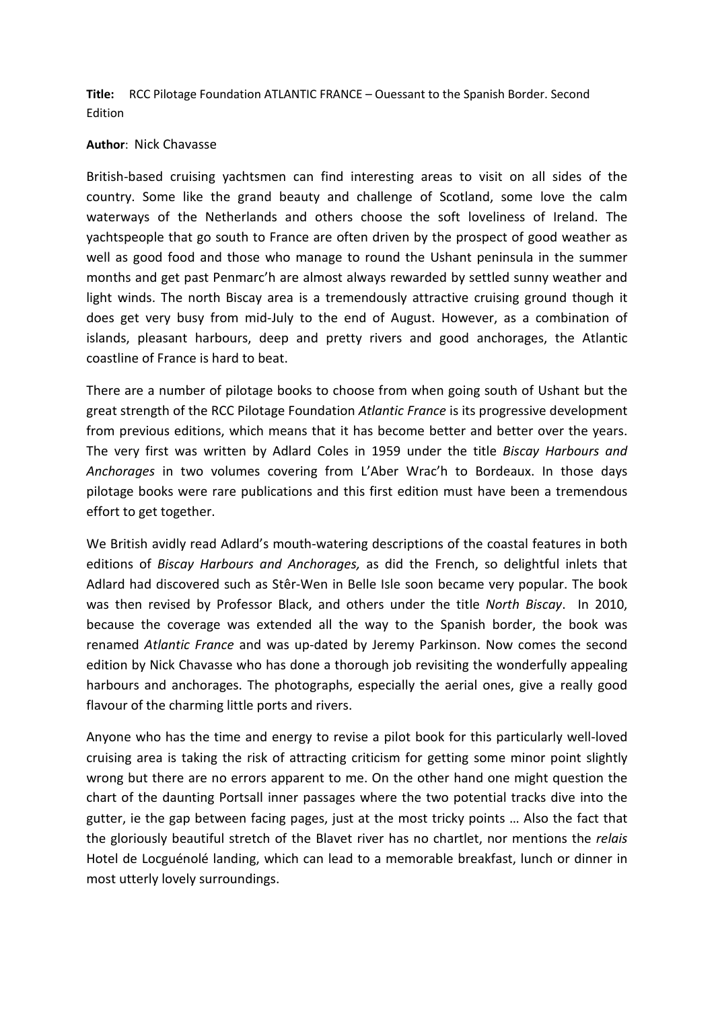**Title:** RCC Pilotage Foundation ATLANTIC FRANCE – Ouessant to the Spanish Border. Second Edition

## **Author**: Nick Chavasse

British-based cruising yachtsmen can find interesting areas to visit on all sides of the country. Some like the grand beauty and challenge of Scotland, some love the calm waterways of the Netherlands and others choose the soft loveliness of Ireland. The yachtspeople that go south to France are often driven by the prospect of good weather as well as good food and those who manage to round the Ushant peninsula in the summer months and get past Penmarc'h are almost always rewarded by settled sunny weather and light winds. The north Biscay area is a tremendously attractive cruising ground though it does get very busy from mid-July to the end of August. However, as a combination of islands, pleasant harbours, deep and pretty rivers and good anchorages, the Atlantic coastline of France is hard to beat.

There are a number of pilotage books to choose from when going south of Ushant but the great strength of the RCC Pilotage Foundation *Atlantic France* is its progressive development from previous editions, which means that it has become better and better over the years. The very first was written by Adlard Coles in 1959 under the title *Biscay Harbours and Anchorages* in two volumes covering from L'Aber Wrac'h to Bordeaux. In those days pilotage books were rare publications and this first edition must have been a tremendous effort to get together.

We British avidly read Adlard's mouth-watering descriptions of the coastal features in both editions of *Biscay Harbours and Anchorages,* as did the French, so delightful inlets that Adlard had discovered such as Stêr-Wen in Belle Isle soon became very popular. The book was then revised by Professor Black, and others under the title *North Biscay*. In 2010, because the coverage was extended all the way to the Spanish border, the book was renamed *Atlantic France* and was up-dated by Jeremy Parkinson. Now comes the second edition by Nick Chavasse who has done a thorough job revisiting the wonderfully appealing harbours and anchorages. The photographs, especially the aerial ones, give a really good flavour of the charming little ports and rivers.

Anyone who has the time and energy to revise a pilot book for this particularly well-loved cruising area is taking the risk of attracting criticism for getting some minor point slightly wrong but there are no errors apparent to me. On the other hand one might question the chart of the daunting Portsall inner passages where the two potential tracks dive into the gutter, ie the gap between facing pages, just at the most tricky points … Also the fact that the gloriously beautiful stretch of the Blavet river has no chartlet, nor mentions the *relais* Hotel de Locguénolé landing, which can lead to a memorable breakfast, lunch or dinner in most utterly lovely surroundings.